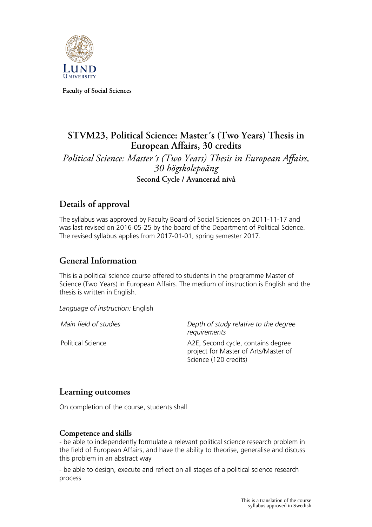

**Faculty of Social Sciences**

# **STVM23, Political Science: Master´s (Two Years) Thesis in European Affairs, 30 credits**

*Political Science: Master´s (Two Years) Thesis in European Affairs, 30 högskolepoäng* **Second Cycle / Avancerad nivå**

### **Details of approval**

The syllabus was approved by Faculty Board of Social Sciences on 2011-11-17 and was last revised on 2016-05-25 by the board of the Department of Political Science. The revised syllabus applies from 2017-01-01, spring semester 2017.

#### **General Information**

This is a political science course offered to students in the programme Master of Science (Two Years) in European Affairs. The medium of instruction is English and the thesis is written in English.

*Language of instruction:* English

*Main field of studies Depth of study relative to the degree requirements*

Political Science **A2E, Second cycle, contains degree** project for Master of Arts/Master of Science (120 credits)

#### **Learning outcomes**

On completion of the course, students shall

#### **Competence and skills**

- be able to independently formulate a relevant political science research problem in the field of European Affairs, and have the ability to theorise, generalise and discuss this problem in an abstract way

- be able to design, execute and reflect on all stages of a political science research process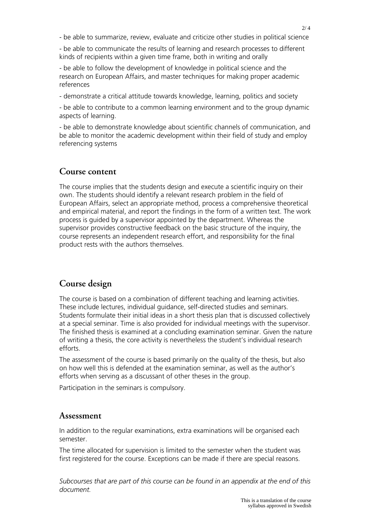- be able to summarize, review, evaluate and criticize other studies in political science

- be able to communicate the results of learning and research processes to different kinds of recipients within a given time frame, both in writing and orally

- be able to follow the development of knowledge in political science and the research on European Affairs, and master techniques for making proper academic references

- demonstrate a critical attitude towards knowledge, learning, politics and society

- be able to contribute to a common learning environment and to the group dynamic aspects of learning.

- be able to demonstrate knowledge about scientific channels of communication, and be able to monitor the academic development within their field of study and employ referencing systems

#### **Course content**

The course implies that the students design and execute a scientific inquiry on their own. The students should identify a relevant research problem in the field of European Affairs, select an appropriate method, process a comprehensive theoretical and empirical material, and report the findings in the form of a written text. The work process is guided by a supervisor appointed by the department. Whereas the supervisor provides constructive feedback on the basic structure of the inquiry, the course represents an independent research effort, and responsibility for the final product rests with the authors themselves.

# **Course design**

The course is based on a combination of different teaching and learning activities. These include lectures, individual guidance, self-directed studies and seminars. Students formulate their initial ideas in a short thesis plan that is discussed collectively at a special seminar. Time is also provided for individual meetings with the supervisor. The finished thesis is examined at a concluding examination seminar. Given the nature of writing a thesis, the core activity is nevertheless the student's individual research efforts.

The assessment of the course is based primarily on the quality of the thesis, but also on how well this is defended at the examination seminar, as well as the author's efforts when serving as a discussant of other theses in the group.

Participation in the seminars is compulsory.

#### **Assessment**

In addition to the regular examinations, extra examinations will be organised each semester.

The time allocated for supervision is limited to the semester when the student was first registered for the course. Exceptions can be made if there are special reasons.

*Subcourses that are part of this course can be found in an appendix at the end of this document.*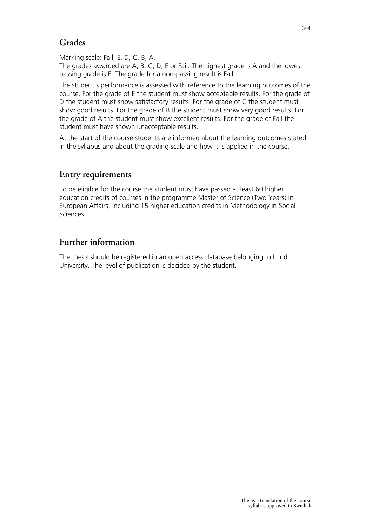# **Grades**

Marking scale: Fail, E, D, C, B, A.

The grades awarded are A, B, C, D, E or Fail. The highest grade is A and the lowest passing grade is E. The grade for a non-passing result is Fail.

The student's performance is assessed with reference to the learning outcomes of the course. For the grade of E the student must show acceptable results. For the grade of D the student must show satisfactory results. For the grade of C the student must show good results. For the grade of B the student must show very good results. For the grade of A the student must show excellent results. For the grade of Fail the student must have shown unacceptable results.

At the start of the course students are informed about the learning outcomes stated in the syllabus and about the grading scale and how it is applied in the course.

# **Entry requirements**

To be eligible for the course the student must have passed at least 60 higher education credits of courses in the programme Master of Science (Two Years) in European Affairs, including 15 higher education credits in Methodology in Social Sciences.

# **Further information**

The thesis should be registered in an open access database belonging to Lund University. The level of publication is decided by the student.